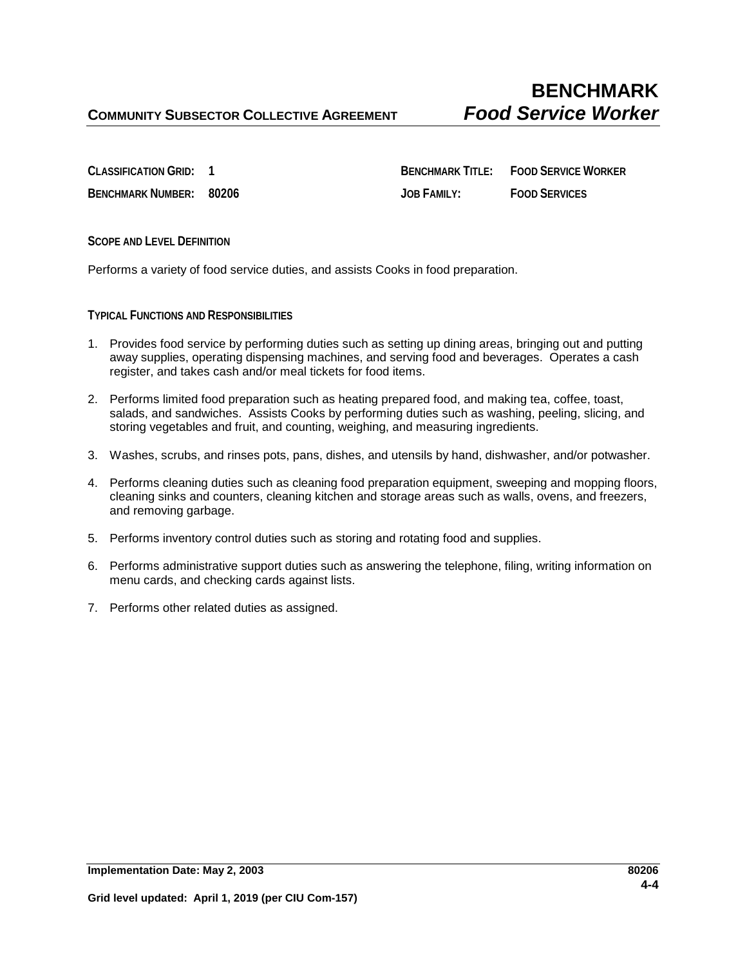**CLASSIFICATION GRID: 1 BENCHMARK TITLE: FOOD SERVICE WORKER BENCHMARK NUMBER: 80206 JOB FAMILY: FOOD SERVICES**

**SCOPE AND LEVEL DEFINITION**

Performs a variety of food service duties, and assists Cooks in food preparation.

**TYPICAL FUNCTIONS AND RESPONSIBILITIES**

- 1. Provides food service by performing duties such as setting up dining areas, bringing out and putting away supplies, operating dispensing machines, and serving food and beverages. Operates a cash register, and takes cash and/or meal tickets for food items.
- 2. Performs limited food preparation such as heating prepared food, and making tea, coffee, toast, salads, and sandwiches. Assists Cooks by performing duties such as washing, peeling, slicing, and storing vegetables and fruit, and counting, weighing, and measuring ingredients.
- 3. Washes, scrubs, and rinses pots, pans, dishes, and utensils by hand, dishwasher, and/or potwasher.
- 4. Performs cleaning duties such as cleaning food preparation equipment, sweeping and mopping floors, cleaning sinks and counters, cleaning kitchen and storage areas such as walls, ovens, and freezers, and removing garbage.
- 5. Performs inventory control duties such as storing and rotating food and supplies.
- 6. Performs administrative support duties such as answering the telephone, filing, writing information on menu cards, and checking cards against lists.
- 7. Performs other related duties as assigned.